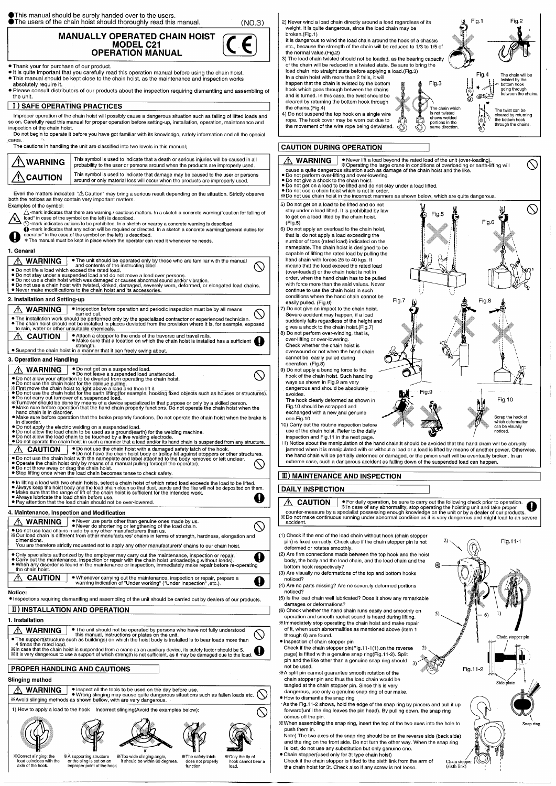**O**This manual should be surely handed over to the users.

**The users of the chain hoist should thoroughly read this manual.** 

 $(NO.3)$ 

**MANUALLY OPERATED CHAIN HOIST MODEL C21 OPERATION MANUAL** 

- . Thank your for purchase of our product.
- . It is quite important that you carefully read this operation manual before using the chain hoist. . This manual should be kept close to the chain hoist, as the maintenance and inspection works absolutely require it.
- Please consult distributors of our products about the inspection requiring dismantling and assembling of the unit.

#### | I ) SAFE OPERATING PRACTICES

Improper operation of the chain hoist will possibly cause a dangerous situation such as falling of lifted loads and so on. Carefully read this manual for proper operation before setting-up, installation, operation, maintenance and inspection of the chain hoist.

Do not begin to operate it before you have got familiar with its knowledge, safety information and all the special cares.

The cautions in handling the unit are classified into two levels in this manual;

| $\Lambda$ WARNING | This symbol is used to indicate that a death or serious injuries will be caused in all<br>probability to the user or persons around when the products are improperly used. |
|-------------------|----------------------------------------------------------------------------------------------------------------------------------------------------------------------------|
| $\Lambda$ CAUTION | This symbol is used to indicate that damage may be caused to the user or persons<br>around or only material loss will occur when the products are improperly used.         |

Even the matters indicated " $\triangle$  Caution" may bring a serious result depending on the situation. Strictly observe both the notices as they contain very important matters.

Examples of the symbol:

- $\triangle$ -mark indicates that there are warning / cautious matters. In a sketch a concrete warning("caution for falling of load" in case of the symbol on the left) is described.
- $\bigcirc$ -mark indicates actions to be prohibited. In a sketch or nearby a concrete warning is described.
- -mark indicates that any action will be required or directed. In a sketch a concrete warning("general duties for operator" in the case of the symbol on the left) is described.
- \* The manual must be kept in place where the operator can read it whenever he needs

| <b>1. Genarai</b>                                                                                                                                                                                                                                                                                                                                                                                                                                                                                                                                                                                                                                                                                                                                                                                                                                                                                                                                                                                                                                                                                                                                                                                                                                                                                                                                                                                                                                                                                                                                                                                                                                                                                                                                                      | capable of lifting the rated load by pulling the                                                                                                                                                                                                                                                                                                                                                                                                                                                                                                                                                                                                                                                                                                                            |
|------------------------------------------------------------------------------------------------------------------------------------------------------------------------------------------------------------------------------------------------------------------------------------------------------------------------------------------------------------------------------------------------------------------------------------------------------------------------------------------------------------------------------------------------------------------------------------------------------------------------------------------------------------------------------------------------------------------------------------------------------------------------------------------------------------------------------------------------------------------------------------------------------------------------------------------------------------------------------------------------------------------------------------------------------------------------------------------------------------------------------------------------------------------------------------------------------------------------------------------------------------------------------------------------------------------------------------------------------------------------------------------------------------------------------------------------------------------------------------------------------------------------------------------------------------------------------------------------------------------------------------------------------------------------------------------------------------------------------------------------------------------------|-----------------------------------------------------------------------------------------------------------------------------------------------------------------------------------------------------------------------------------------------------------------------------------------------------------------------------------------------------------------------------------------------------------------------------------------------------------------------------------------------------------------------------------------------------------------------------------------------------------------------------------------------------------------------------------------------------------------------------------------------------------------------------|
| • The unit should be operated only by those who are familiar with the manual<br><b>WARNING</b><br>and contents of the instructing label.<br>. Do not life a load which exceed the rated load.<br>. Do not stay under a suspended load and do not move a load over persons.<br>. Do not use a chain hoist which was damaged or causes abnormal sound and/or vibration.<br>• Do not use a chain hoist with twisted, kinked, damaged, severely worn, deformed, or elongated load chains,<br>. Never make modifications to the chain hoist and its accessories.                                                                                                                                                                                                                                                                                                                                                                                                                                                                                                                                                                                                                                                                                                                                                                                                                                                                                                                                                                                                                                                                                                                                                                                                            | hand chain with forces 25 to 40 kgs. It<br>means that the load exceed the rated load<br>(over-loaded) or the chain hoist is not in<br>order, when the hand chain has to be pulled<br>with force more than the said values. Never<br>continue to use the chain hoist in such<br>conditions where the hand chain cannot be                                                                                                                                                                                                                                                                                                                                                                                                                                                    |
| 2. Installation and Setting-up                                                                                                                                                                                                                                                                                                                                                                                                                                                                                                                                                                                                                                                                                                                                                                                                                                                                                                                                                                                                                                                                                                                                                                                                                                                                                                                                                                                                                                                                                                                                                                                                                                                                                                                                         | Fig.7<br>easily pulled. (Fig.6)                                                                                                                                                                                                                                                                                                                                                                                                                                                                                                                                                                                                                                                                                                                                             |
| • Inspection before operation and periodic inspection must be by all means<br><b>WARNING</b><br>carried out.<br>. The installation work should be performed only by the specialized contractor or experienced technician.<br>. The chain hoist should not be installed in places deviated from the provision where it is, for example, exposed<br>to rain, water or other unsuitable chemicals.                                                                                                                                                                                                                                                                                                                                                                                                                                                                                                                                                                                                                                                                                                                                                                                                                                                                                                                                                                                                                                                                                                                                                                                                                                                                                                                                                                        | 7) Do not give an impact to the chain hoist.<br>Severe accident may happen, if a load<br>suddenly falls regardless of the height and<br>gives a shock to the chain hoist. (Fig.7)                                                                                                                                                                                                                                                                                                                                                                                                                                                                                                                                                                                           |
| <b>CAUTION</b><br>• Attach a stopper to the ends of the traverse and travel rails.<br>. Make sure that a location on which the chain hoist is installed has a sufficient<br>strength.<br>• Suspend the chain hoist in a manner that it can freely swing about.                                                                                                                                                                                                                                                                                                                                                                                                                                                                                                                                                                                                                                                                                                                                                                                                                                                                                                                                                                                                                                                                                                                                                                                                                                                                                                                                                                                                                                                                                                         | 8) Do not perform over-winding, that is,<br>over-lifting or over-lowering.<br>Check whether the chain hoist is<br>overwound or not when the hand chain                                                                                                                                                                                                                                                                                                                                                                                                                                                                                                                                                                                                                      |
| 3. Operation and Handling                                                                                                                                                                                                                                                                                                                                                                                                                                                                                                                                                                                                                                                                                                                                                                                                                                                                                                                                                                                                                                                                                                                                                                                                                                                                                                                                                                                                                                                                                                                                                                                                                                                                                                                                              | cannot be easily pulled during                                                                                                                                                                                                                                                                                                                                                                                                                                                                                                                                                                                                                                                                                                                                              |
| <b>WARNING</b><br>• Do not get on a suspended load.<br>. Do not leave a suspended load unattended.<br>. Do not allow your attention to be diverted from operating the chain hoist.<br>• Do not use the chain hoist for the oblique pulling.<br>X First move the chain hoist to right above a load and then lift it.<br>. Do not use the chain holst for the earth lifting (for example, hooking fixed objects such as houses or structures).<br>• Do not carry out turnover of a suspended load.<br>*Turnover should be done by means of a device specialized in that purpose or only by a skilled person.<br>• Make sure before operation that the hand chain properly functions. Do not operate the chain hoist when the<br>hand chain is in disorder.<br>. Make sure before operation that the brake properly functions. Do not operate the chain hoist when the brake is<br>in disorder.<br>. Do not apply the electric welding on a suspended load.<br>. Do not allow the load chain to be used as a ground(earth) for the welding machine.<br>. Do not allow the load chain to be touched by a live welding electrode.<br>• Do not operate the chain hoist in such a manner that a load and/or its hand chain is suspended from any structure.<br>• Do not use the chain hoist with a damaged safety latch of the hook.<br><b>CAUTION</b><br>• Do not have the chain hoist body or trolley hit against atoppers or other structures.<br>. Do not use the chain hoist with the nameplate and label attached to the body removed or left unclear.<br>• Operate the chain hoist only by means of a manual pulling force(of the operator).<br>. Do not throw away or drag the chain hoist.<br>• Stop lifting once when the load chain becomes tense to check safety. | operation. (Fig.8)<br>9) Do not apply a bending force to the<br>hook of the chain hoist. Such handling<br>ways as shown in Fig.9 are very<br>dangerous and should be absolutely<br>avoides.<br>The hook clearly deformed as shown in<br>Fig.10 should be scrapped and<br>exchanged with a new and genuine<br>one.Fig.10<br>10) Carry out the routine inspection before<br>use of the chain hoist. Refer to the daily<br>inspection and Fig.11 in the next page.<br>11) Notice about the manipulation of the hand chain; it should be<br>jammed when it is manipulated with or without a load or a load<br>the hand chain will be partially deformed or damaged, or the p<br>extreme case, such a dangerous accident as falling down of t<br>III) MAINTENANCE AND INSPECTION |
| • In lifting a load with two chain hoists, select a chain hoist of which rated load exceeds the load to be lifted.<br>• Always keep the hoist body and the load chain clean so that dust, sands and the like will not be deposited on them.<br>• Make sure that the range of lift of the chain hoist is sufficient for the intended work.                                                                                                                                                                                                                                                                                                                                                                                                                                                                                                                                                                                                                                                                                                                                                                                                                                                                                                                                                                                                                                                                                                                                                                                                                                                                                                                                                                                                                              | <b>DAILY INSPECTION</b>                                                                                                                                                                                                                                                                                                                                                                                                                                                                                                                                                                                                                                                                                                                                                     |
| • Always lubricate the load chain before use.<br>• Pay attention that the load chain should not be over-lowered.                                                                                                                                                                                                                                                                                                                                                                                                                                                                                                                                                                                                                                                                                                                                                                                                                                                                                                                                                                                                                                                                                                                                                                                                                                                                                                                                                                                                                                                                                                                                                                                                                                                       | <b>CAUTION</b><br>. For daily operation, be sure to carr                                                                                                                                                                                                                                                                                                                                                                                                                                                                                                                                                                                                                                                                                                                    |
| 4. Maintenance, Inspection and Modification                                                                                                                                                                                                                                                                                                                                                                                                                                                                                                                                                                                                                                                                                                                                                                                                                                                                                                                                                                                                                                                                                                                                                                                                                                                                                                                                                                                                                                                                                                                                                                                                                                                                                                                            | *In case of any abnormality, stop op<br>counter-measure by a specialist possessing enough knowled                                                                                                                                                                                                                                                                                                                                                                                                                                                                                                                                                                                                                                                                           |
| . Never use parts other than genuine ones made by us.<br><b>WARNING</b><br>• Never do shortening or lengthening of the load chain.<br>. Do not use load chains made by any other manufacturers than us.<br>X Our load chain is different from other manufactures' chains in terms of strength, hardness, elongation and                                                                                                                                                                                                                                                                                                                                                                                                                                                                                                                                                                                                                                                                                                                                                                                                                                                                                                                                                                                                                                                                                                                                                                                                                                                                                                                                                                                                                                                | *Do not make continuous running under abnormal condition as<br>accident.<br>(1) Check if the end of the load chain without hook (chain stoppe                                                                                                                                                                                                                                                                                                                                                                                                                                                                                                                                                                                                                               |
| dimensions.<br>You are therefore strictly requested not to apply any other manufacturers' chains to our chain hoist.                                                                                                                                                                                                                                                                                                                                                                                                                                                                                                                                                                                                                                                                                                                                                                                                                                                                                                                                                                                                                                                                                                                                                                                                                                                                                                                                                                                                                                                                                                                                                                                                                                                   | pin) is fixed correctly. Check also if the chain stopper pin is no<br>deformed or rotates smoothly.                                                                                                                                                                                                                                                                                                                                                                                                                                                                                                                                                                                                                                                                         |
| . Only specialists authorized by the employer may carry out the maintenance, inspection or repair.<br>O<br>• Carry out the maintenance, inspection or repair with the chain hoist unloaded(e.g.without loads).<br>. When any disorder is found in the maintenance or inspection, immediately make repair before re-operating<br>the chain hoist.                                                                                                                                                                                                                                                                                                                                                                                                                                                                                                                                                                                                                                                                                                                                                                                                                                                                                                                                                                                                                                                                                                                                                                                                                                                                                                                                                                                                                       | (2) Are firm connections made between the top hook and the hoi<br>body, the body and the load chain, and the load chain and the<br>bottom hook respectively?<br>(3) Are visually no deformations of the top and bottom hooks                                                                                                                                                                                                                                                                                                                                                                                                                                                                                                                                                |
| <b>CAUTION</b><br>. Whenever carrying out the maintenance, inspection or repair, prepare a<br>O<br>warning indication of "Under working" ("Under Inspection", etc.).                                                                                                                                                                                                                                                                                                                                                                                                                                                                                                                                                                                                                                                                                                                                                                                                                                                                                                                                                                                                                                                                                                                                                                                                                                                                                                                                                                                                                                                                                                                                                                                                   | noticed?<br>(4) Are no parts missing? Are no severely deformed portions                                                                                                                                                                                                                                                                                                                                                                                                                                                                                                                                                                                                                                                                                                     |
|                                                                                                                                                                                                                                                                                                                                                                                                                                                                                                                                                                                                                                                                                                                                                                                                                                                                                                                                                                                                                                                                                                                                                                                                                                                                                                                                                                                                                                                                                                                                                                                                                                                                                                                                                                        |                                                                                                                                                                                                                                                                                                                                                                                                                                                                                                                                                                                                                                                                                                                                                                             |



· Inspections requiring dismantling and assembling of the unit should be carried out by dealers of our products.

## II) INSTALLATION AND OPERATION

### 1. Installation



. The unit should not be operated by persons who have not fully understood

The support (structure such as buildings) on which the hoist body is installed is to bear loads more than 4 times the rated load.

\*In case that the chain hoist is suspended from a crane as an auxiliary device, its safety factor should be 5. It is very dangerous to use a support of which strength is not sufficient, as it may be damaged due to the load.

# **PROPER HANDLING AND CAUTIONS**

### **Slinging method**

. Inspect all the tools to be used on the day before use. A WARNING . Wrong slinging may cause quite dangerous situations such as fallen loads etc. \*Avoid slinging methods as shown bellow, with are very dangerous.

1) How to apply a load to the hook Incorrect slinging(Avoid the examples below):





\*Correct slinging: the **※A** supporting structure load coincides with the axle of the hook.



or the sling is set on an



\*Too wide slinging angle, it should be within 60 degrees. improper point of the hook



**XOnly the tip of** hook cannot bear a load

 $\bigcirc$ 

(5) Is the load chain well lubricated? Does it show any remarkable damages or deformations?

(6) Check whether the hand chain runs easily and smoothly on operation and smooth rachet sound is heard during lifting. \*Immediately stop operating the chain hoist and make repair of it, when such abnormalities as mentioned above (item 1 through 6) are found.

· Inspection of chain stopper pin

Check if the chain stopper pin(Fig.11-1(1), on the reverse page) is fitted with a genuine snap ring(Fig.11-2). Split pin and the like other than a genuine snap ring should  $\overline{3}$ not be used.

%A split pin cannot guarantee smooth rotation of the chain stopper pin and thus the load chain would be tangled at the chain stopper pin. Since this is very dangerous, use only a genuine snap ring of our make.

- . How to dismantle the snap ring
- ·As the Fig.11-2 shows, hold the edge of the snap ring by pincers and pull it up forward(until the ring leaves the pin head). By pulling down, the snap ring comes off the pin.
- \*When assembling the snap ring, insert the top of the two axes into the hole to push them in.

Note) The two axes of the snap ring should be on the reverse side (back side) and the ring on the front side. Do not turn the other way. When the snap ring is lost, do not use any substitution but only genuine one.

• Chain stopper(used only for 3t type chain hoist) Check if the chain stopper is fitted to the sixth link from the arm of the chain hoist for 3t. Check also if any screw is not loose.



 $\Omega$ 

 $5)$ 

Chain stopper<br>(sixth link)

 $\overline{2}$ 

Snap ring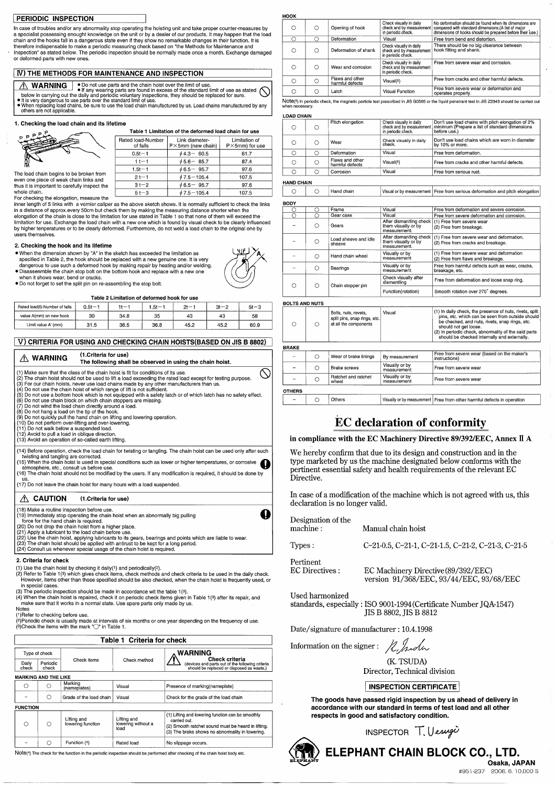#### PERIODIC INSPECTION

In case of troubles and/or any abnormality stop operating the hoisting unit and take proper counter-measures by a specialist possessing enought knowledge on the unit or by a dealer of our products. It may happen that the load chain and the hooks fall in a dangerous state even if they show no remarkable changes in their function. It is therefore indispensable to make a periodic measuring check based on "the Methods for Maintenance and Inspection" as stated below. The periodic inspection should be normally made once a month. Exchange damaged or deformed parts with new ones

#### **IV) THE METHODS FOR MAINTENANCE AND INSPECTION**

. Do not use parts and the chain hoist over the limit of use **WARNING**  $\frac{213}{212}$  **TEN INSURGENCES**<br>below in carrying out the daily and periodic voluntary inspections, they should be replaced for sure.

• It is very dangerous to use parts over the standard limit of use.<br>• When replacing load chains, be sure to use the load chain manufactured by us. Load chains manufactured by any others are not applicable.

Rated load-Number

of falls  $0.5t - 1$ 

 $1t-1$ 

 $1.5t - 1$ 

 $2t-1$ 

 $3t - 2$ 

 $5t-3$ 

#### 1. Checking the load chain and its lifetime

#### Table 1 Limitation of the deformed load chain for use

Link diameter-

P×5mm (new chain)

 $\phi$  4.3 - 60.5

 $\phi$  5.6 - 85.7

 $\phi$  6.5 - 95.7

 $\phi$  7.5 – 105.4

 $\phi$  6.5 - 95.7

 $\phi$  7.5 – 105.4

The load chain begins to be broken from even one piece of weak chain links and thus it is important to carefully inspect the whole chain.

For checking the elongation, measure the

inner length of 5 links with a vernier caliper as the above sketch shows. It is normally sufficient to check the links in a distance of approx every 50cm but check them by making the measuring distance shorter when the elongation of the chain is close to the limitation for use stated in Table 1 so that none of them will exceed the limitation for use. Exchange the load chain with a new one which is found by visual check to be clearly influenced by higher tenperatures or to be clearly deformed. Furthermore, do not weld a load chain to the original one by users themselves.

#### 2. Checking the hook and its lifetime

- . When the dimension shown by "A" in the sketch has exceeded the limitation as specified in Table 2, the hook should be replaced with a new genuine one. It is very dangerous to use such a deformed hook by making repair by heating and/or welding.
- · Disassenmble the chain stop bolt on the bottom hook and replace with a new one when it shows wear, bend or cracks.
- . Do not forget to set the split pin on re-assembling the stop bolt

Table 2 Limitation of deformed book for use

| Rated load(t)-Number of falls | $0.5t-1$ | $+$ $-$ | $.5t -$ | $2t - 1$ | $3t - 2$ | $5t - 3$ |
|-------------------------------|----------|---------|---------|----------|----------|----------|
| value A(mm) on new hook       | 30       | 34.8    | 35      | 43       | 43       | 58       |
| Limit value A' (mm)           | 31.5     | 36.5    | 36.8    | 45.2     | 45.2     | 60.9     |

#### V) CRITERIA FOR USING AND CHECKING CHAIN HOISTS (BASED ON JIS B 8802)

| <b>WARNING</b>                                                                                                                                                                                       | (1. Criteria for use)<br>The following shall be observed in using the chain hoist.                                                                                                                                                                                                                                                                                                                                                                                                                                                                                                                                                                                                                                                                         |
|------------------------------------------------------------------------------------------------------------------------------------------------------------------------------------------------------|------------------------------------------------------------------------------------------------------------------------------------------------------------------------------------------------------------------------------------------------------------------------------------------------------------------------------------------------------------------------------------------------------------------------------------------------------------------------------------------------------------------------------------------------------------------------------------------------------------------------------------------------------------------------------------------------------------------------------------------------------------|
| (8) Do not hang a load on the tip of the hook.<br>(11) Do not walk below a suspended load.<br>(12) Avoid to pull a load in oblique direction.<br>(13) Avoid an operation of so-called earth lifting. | (1) Make sure that the class of the chain hoist is fit for conditions of its use.<br>(2) The chain hoist should not be used to lift a load exceeding the rated load except for testing purpose.<br>(3) For our chain hoists, never use load chains made by any other manufacturers than us.<br>(4) Do not use the chain hoist of which range of lift is not sufficient.<br>(5) Do not use a bottom hook which is not equipped with a safety latch or of which latch has no safety effect.<br>(6) Do not use chain block on which chain stoppers are missing.<br>(7) Do not wind the load chain directly around a load.<br>(9) Do not quickly pull the hand chain on lifting and lowering operation.<br>(10) Do not perform over-lifting and over-lowering. |
| twisting and tangling are corrected.<br>atmosphere, etc., consult us before use.<br>US.                                                                                                              | (14) Before operation, check the load chain for twisting or tangling. The chain hoist can be used only after such<br>(15) When the chain hoist is used in special conditions such as lower or higher temperatures, or corrosive<br>(16) The chain hoist should not be modified by the users. If any modification is required, it should be done by<br>(17) Do not leave the chain hoist for many hours with a load suspended.                                                                                                                                                                                                                                                                                                                              |
| <b>CAUTION</b>                                                                                                                                                                                       | (1. Criteria for use)                                                                                                                                                                                                                                                                                                                                                                                                                                                                                                                                                                                                                                                                                                                                      |
| (18) Make a routine inspection before use.<br>force for the hand chain is required.                                                                                                                  | (19) Immediately stop operating the chain hoist when an abnormally big pulling<br>(20) Do not drop the chain hoist from a higher place.<br>(21) Apply a lubricant to the load chain before use.<br>(22) Use the chain hoist, applying lubricants to its gears, bearings and points which are liable to wear.<br>(23) The chain hoist should be applied with antirust to be kept for a long period.<br>(24) Consult us whenever special usage of the chain hoist is required.                                                                                                                                                                                                                                                                               |

#### 2. Criteria for check

- (1) Use the chain hoist by checking it daily(1) and periodically(2).
- (2) Refer to Table 1(3) which gives check items, check methods and check criteria to be used in the daily check. However, items other than those specified should be also checked, when the chain hoist is frequently used, or in special cases.
- (3) The periodic inspection should be made in accordance wit the table 1(3)

| . |                                    |                                                                           |                                                                                                                                                                                                                           |
|---|------------------------------------|---------------------------------------------------------------------------|---------------------------------------------------------------------------------------------------------------------------------------------------------------------------------------------------------------------------|
| C | Opening of hook                    | Check visually in daily                                                   | No deformation should be found when its dimensions are<br>check and by measurement   compared with standard dimensions (A list of major<br>in periodic check.   dimensions of hooks should be prepared before their use.) |
| С | Deformation                        | Visual                                                                    | Free from bend and distortion.                                                                                                                                                                                            |
| С | Deformation of shank               | Check visually in daily<br>check and by measurement<br>in periodic check. | There should be no big clearance between<br>hook fitting and shank.                                                                                                                                                       |
| ∩ | Wear and corrosion                 | Check visually in daily<br>check and by measurement<br>in periodic check. | Free from severe wear and corrosion.                                                                                                                                                                                      |
| С | Flaws and other<br>harmful defects | Visual(5)                                                                 | Free from cracks and other harmful defects.                                                                                                                                                                               |
| O | Latch                              | <b>Visual Function</b>                                                    | Free from severe wear or deformation and<br>operates properly.                                                                                                                                                            |

Note(<sup>5</sup>) In periodic check, the magnetic particle test prescribed in JIS G0565 or the liquid penetrant test in JIS Z2343 should be carried out when necessary

#### OAD CHAIN

unny

| O | С | Pitch elongation                   | Check visually in daily<br>check and by measurement<br>in periodic check. | Don't use load chains with pitch elongation of 2%<br>minimum (Prepare a list of standard dimensions<br>before use.) |
|---|---|------------------------------------|---------------------------------------------------------------------------|---------------------------------------------------------------------------------------------------------------------|
|   | € | Wear                               | Check visually in daily<br>check.                                         | l Don't use load chains which are worn in diameter<br>by 10% or more.                                               |
| ∩ | ◠ | Deformation                        | Visual                                                                    | Free from deformation.                                                                                              |
| ∩ | Ω | Flaws and other<br>harmful defects | Visual(5)                                                                 | Free from cracks and other harmful defects.                                                                         |
| O |   | Corrosion                          | Visual                                                                    | Free from serious rust.                                                                                             |
|   |   |                                    |                                                                           |                                                                                                                     |

#### **HAND CHAIN**

| ------- |  |  |  |  | Visual<br>≀ measurement i<br>വ<br>n۷ | Free from serious deformation and pitch elongation |
|---------|--|--|--|--|--------------------------------------|----------------------------------------------------|
|---------|--|--|--|--|--------------------------------------|----------------------------------------------------|

| BODY |    |                                |                                     |                                                                                                          |
|------|----|--------------------------------|-------------------------------------|----------------------------------------------------------------------------------------------------------|
|      |    | Frame                          | Visual                              | Free from deformation and severe corrosion.                                                              |
|      |    | Gear case                      | Visual                              | Free from severe deformation and corrosion.                                                              |
|      | () | Gears                          | them visually or by<br>measurement. | After dismantling check (1) Free from severe wear<br>(2) Free from breakage.                             |
|      |    | Load sheave and idle<br>sheave | them visually or by<br>measurement. | After dismantling check (1) Free from severe wear and deformation.<br>(2) Free from cracks and breakage. |
|      | ∩  | Hand chain wheel               | Visually or by<br>measurement       | (1) Free from severe wear and deformation<br>(2) Free from flaws and breakage.                           |
|      | Ω  | Bearings                       | Visually or by<br>measurement       | Free from harmful defects such as wear, cracks,<br>breakage, etc.                                        |
|      | O  | Chain stopper pin              | Check visually after<br>dismantling | Free from deformation and loose snap ring.                                                               |
|      |    |                                | Function(rotation)                  | Smooth rotation over 270° degrees.                                                                       |

#### **BOLTS AND NUTS**

| Bolts, nuts, revets,<br>split pins, snap rings, etc.<br>at all the components |
|-------------------------------------------------------------------------------|

#### **BRAKE**

|               | Wear of brake linings        | By measurement                | Free from severe wear (based on the maker's<br>instructions) |
|---------------|------------------------------|-------------------------------|--------------------------------------------------------------|
|               | <b>Brake screws</b>          | Visually or by<br>measurement | Free from severe wear                                        |
|               | Ratchet and ratchet<br>wheel | Visually or by<br>measurement | Free from severe wear                                        |
| <b>OTHERS</b> |                              |                               |                                                              |

 $\bigcirc$ 

Others

# **EC** declaration of conformity

Visually or by measurement | Free from other harmful defects in operation

in compliance with the EC Machinery Directive 89/392/EEC, Annex II A

We hereby confirm that due to its design and construction and in the type marketed by us the machine designated below conforms with the pertinent essential safety and health requirements of the relevant EC Directive.

In case of a modification of the machine which is not agreed with us, this declaration is no longer valid.

| Designation of the<br>machine : | Manual chain hoist                                                              |
|---------------------------------|---------------------------------------------------------------------------------|
| Types:                          | $C-21-0.5$ , $C-21-1$ , $C-21-1.5$ , $C-21-2$ , $C-21-3$ , $C-21-5$             |
| Pertinent<br>EC Directives :    | EC Machinery Directive (89/392/EEC)<br>version 91/368/EEC, 93/44/EEC, 93/68/EEC |



Limitation of

 $P\times$ 5mm) for use

61.7

87.4

97.6

107.5

97.6

107.5



(4) When the chain hoist is repaired, check it on periodic check items given in Table 1(3) after its repair, and make sure that it works in a normal state. Use spare parts only made by us.

**Notes** 

(1) Refer to checking before use.

(2) Periodic check is usually made at intervals of six months or one year depending on the frequency of use. (3) Check the items with the mark  $\sqrt[m]{ }$  in Table 1.

|                | Table 1 Criteria for check |             |              |                                                                                                                        |  |  |
|----------------|----------------------------|-------------|--------------|------------------------------------------------------------------------------------------------------------------------|--|--|
|                | Type of check              |             |              | ∧ WARNING                                                                                                              |  |  |
| Daily<br>check | Periodic<br>check          | Check items | Check method | <b>Check criteria</b><br>(devices and parts out of the following criteria<br>should be replaced or disposed as waste.) |  |  |

#### **MARKING AND THE LIKE**

|   | Marking                   | Visual | Presence of marking(nameplate)        |
|---|---------------------------|--------|---------------------------------------|
| - | Grade of the load chain I | Visual | Check for the grade of the load chain |

#### **FUNCTION**

|  | Lifting and<br>lowering function | Lifting and<br>lowering without a<br>load | (1) Lifting and lowering function can be smoothly<br>carried out.<br>(2) Smooth ratchet sound must be heard in lifting.<br>(3) The brake shows no abnormality in lowering. |
|--|----------------------------------|-------------------------------------------|----------------------------------------------------------------------------------------------------------------------------------------------------------------------------|
|  | Function (4)                     | Rated load                                | No slippage occurs.                                                                                                                                                        |

Note(4) The check for the function in the periodic inspection should be performed after checking of the chain hoist body etc.

Used harmonized standards, especially: ISO 9001-1994 (Certificate Number JQA-1547) JIS B 8802, JIS B 8812

Date/signature of manufacturer : 10.4.1998

Information on the signer:  $\chi$  holes

(K. TSUDA) Director, Technical division

# **INSPECTION CERTIFICATE**

The goods have passed rigid inspection by us ahead of delivery in accordance with our standard in terms of test load and all other respects in good and satisfactory condition.





ELEPHANT CHAIN BLOCK CO., LTD.

Osaka, JAPAN #951-237 2006.6.10,000 S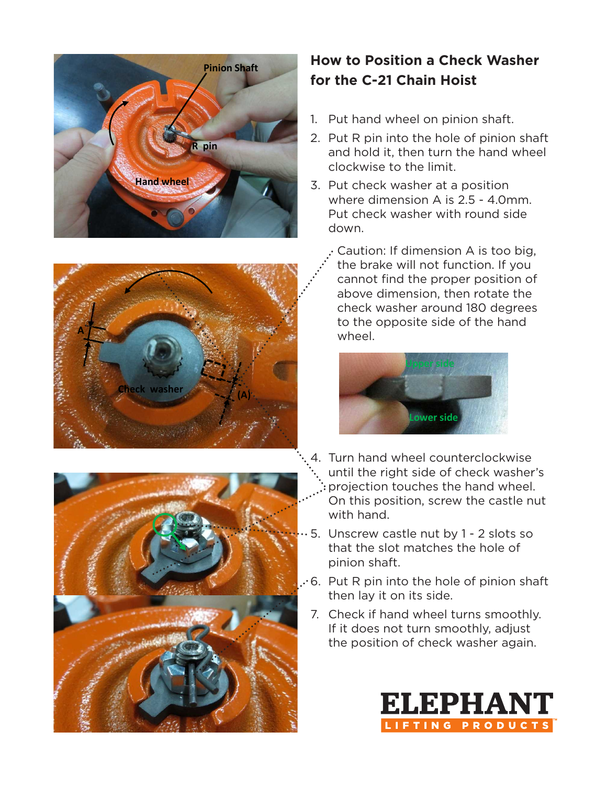





# **How to Position a Check Washer for the C-21 Chain Hoist**

- 1. Put hand wheel on pinion shaft.
- 2. Put R pin into the hole of pinion shaft and hold it, then turn the hand wheel clockwise to the limit.
- 3. Put check washer at a position where dimension A is 2.5 - 4.0mm. Put check washer with round side down.
	- Caution: If dimension A is too big, the brake will not function. If you cannot find the proper position of above dimension, then rotate the check washer around 180 degrees to the opposite side of the hand **Upper side** wheel.



- 4. Turn hand wheel counterclockwise until the right side of check washer's projection touches the hand wheel. On this position, screw the castle nut with hand.
- 5. Unscrew castle nut by 1 2 slots so that the slot matches the hole of pinion shaft.
- 6. Put R pin into the hole of pinion shaft then lay it on its side.
	- 7. Check if hand wheel turns smoothly. If it does not turn smoothly, adjust the position of check washer again.

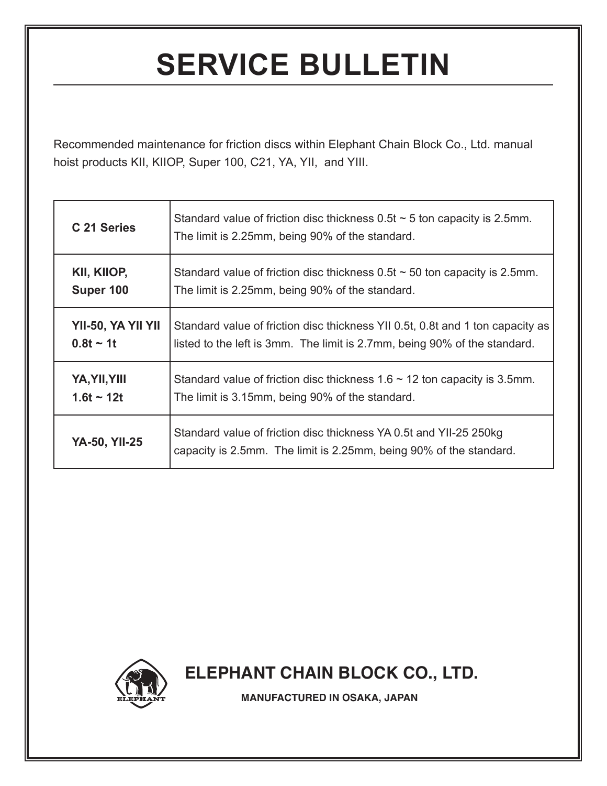# **SERVICE BULLETIN**

Recommended maintenance for friction discs within Elephant Chain Block Co., Ltd. manual hoist products KII, KIIOP, Super 100, C21, YA, YII, and YIII.

| C 21 Series          | Standard value of friction disc thickness $0.5t \sim 5$ ton capacity is 2.5mm.<br>The limit is 2.25mm, being 90% of the standard.        |  |  |
|----------------------|------------------------------------------------------------------------------------------------------------------------------------------|--|--|
| KII, KIIOP,          | Standard value of friction disc thickness $0.5t \sim 50$ ton capacity is 2.5mm.                                                          |  |  |
| Super 100            | The limit is 2.25mm, being 90% of the standard.                                                                                          |  |  |
| YII-50, YA YII YII   | Standard value of friction disc thickness YII 0.5t, 0.8t and 1 ton capacity as                                                           |  |  |
| $0.8t - 1t$          | listed to the left is 3mm. The limit is 2.7mm, being 90% of the standard.                                                                |  |  |
| YA, YII, YIII        | Standard value of friction disc thickness $1.6 \sim 12$ ton capacity is 3.5mm.                                                           |  |  |
| $1.6t - 12t$         | The limit is 3.15mm, being 90% of the standard.                                                                                          |  |  |
| <b>YA-50, YII-25</b> | Standard value of friction disc thickness YA 0.5t and YII-25 250kg<br>capacity is 2.5mm. The limit is 2.25mm, being 90% of the standard. |  |  |



 **ELEPHANT CHAIN BLOCK CO., LTD.**

**MANUFACTURED IN OSAKA, JAPAN**